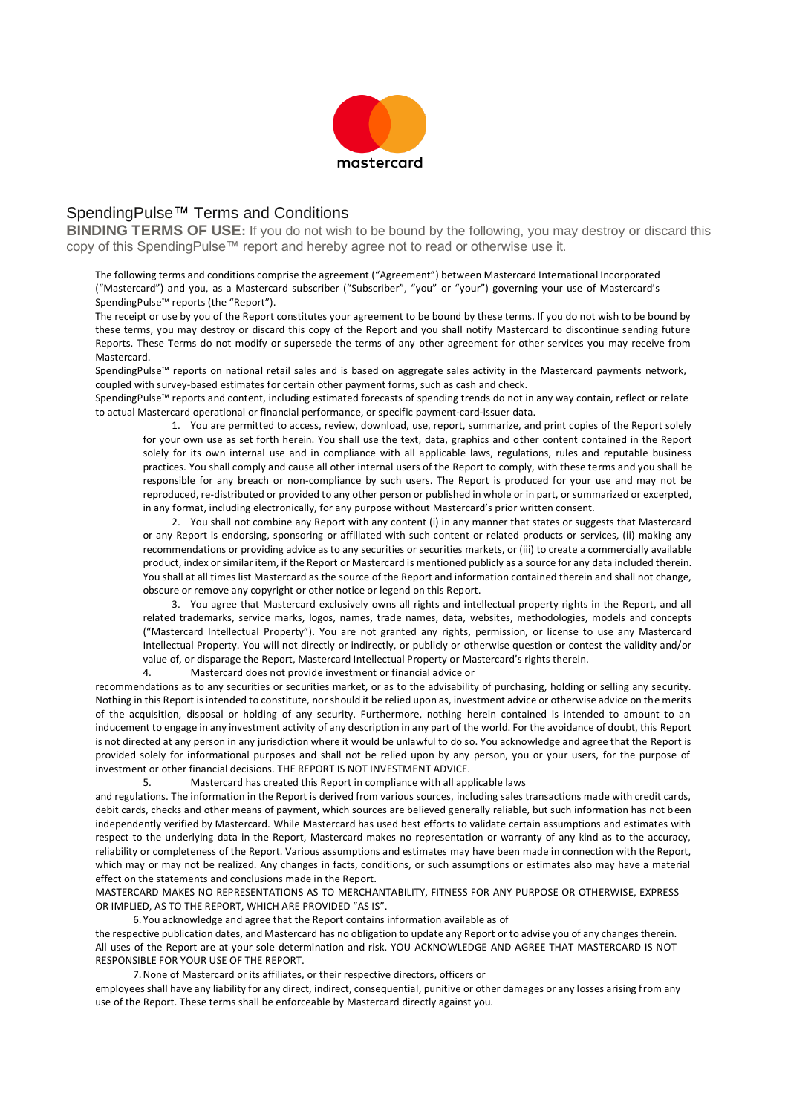

## SpendingPulse™ Terms and Conditions

**BINDING TERMS OF USE:** If you do not wish to be bound by the following, you may destroy or discard this copy of this SpendingPulse™ report and hereby agree not to read or otherwise use it.

The following terms and conditions comprise the agreement ("Agreement") between Mastercard International Incorporated ("Mastercard") and you, as a Mastercard subscriber ("Subscriber", "you" or "your") governing your use of Mastercard's SpendingPulse™ reports (the "Report").

The receipt or use by you of the Report constitutes your agreement to be bound by these terms. If you do not wish to be bound by these terms, you may destroy or discard this copy of the Report and you shall notify Mastercard to discontinue sending future Reports. These Terms do not modify or supersede the terms of any other agreement for other services you may receive from Mastercard.

SpendingPulse™ reports on national retail sales and is based on aggregate sales activity in the Mastercard payments network, coupled with survey-based estimates for certain other payment forms, such as cash and check.

SpendingPulse™ reports and content, including estimated forecasts of spending trends do not in any way contain, reflect or relate to actual Mastercard operational or financial performance, or specific payment-card-issuer data.

1. You are permitted to access, review, download, use, report, summarize, and print copies of the Report solely for your own use as set forth herein. You shall use the text, data, graphics and other content contained in the Report solely for its own internal use and in compliance with all applicable laws, regulations, rules and reputable business practices. You shall comply and cause all other internal users of the Report to comply, with these terms and you shall be responsible for any breach or non-compliance by such users. The Report is produced for your use and may not be reproduced, re-distributed or provided to any other person or published in whole or in part, or summarized or excerpted, in any format, including electronically, for any purpose without Mastercard's prior written consent.

2. You shall not combine any Report with any content (i) in any manner that states or suggests that Mastercard or any Report is endorsing, sponsoring or affiliated with such content or related products or services, (ii) making any recommendations or providing advice as to any securities or securities markets, or (iii) to create a commercially available product, index or similar item, if the Report or Mastercard is mentioned publicly as a source for any data included therein. You shall at all times list Mastercard as the source of the Report and information contained therein and shall not change, obscure or remove any copyright or other notice or legend on this Report.

3. You agree that Mastercard exclusively owns all rights and intellectual property rights in the Report, and all related trademarks, service marks, logos, names, trade names, data, websites, methodologies, models and concepts ("Mastercard Intellectual Property"). You are not granted any rights, permission, or license to use any Mastercard Intellectual Property. You will not directly or indirectly, or publicly or otherwise question or contest the validity and/or value of, or disparage the Report, Mastercard Intellectual Property or Mastercard's rights therein.

4. Mastercard does not provide investment or financial advice or

recommendations as to any securities or securities market, or as to the advisability of purchasing, holding or selling any security. Nothing in this Report is intended to constitute, nor should it be relied upon as, investment advice or otherwise advice on the merits of the acquisition, disposal or holding of any security. Furthermore, nothing herein contained is intended to amount to an inducement to engage in any investment activity of any description in any part of the world. For the avoidance of doubt, this Report is not directed at any person in any jurisdiction where it would be unlawful to do so. You acknowledge and agree that the Report is provided solely for informational purposes and shall not be relied upon by any person, you or your users, for the purpose of investment or other financial decisions. THE REPORT IS NOT INVESTMENT ADVICE.

5. Mastercard has created this Report in compliance with all applicable laws

and regulations. The information in the Report is derived from various sources, including sales transactions made with credit cards, debit cards, checks and other means of payment, which sources are believed generally reliable, but such information has not been independently verified by Mastercard. While Mastercard has used best efforts to validate certain assumptions and estimates with respect to the underlying data in the Report, Mastercard makes no representation or warranty of any kind as to the accuracy, reliability or completeness of the Report. Various assumptions and estimates may have been made in connection with the Report, which may or may not be realized. Any changes in facts, conditions, or such assumptions or estimates also may have a material effect on the statements and conclusions made in the Report.

MASTERCARD MAKES NO REPRESENTATIONS AS TO MERCHANTABILITY, FITNESS FOR ANY PURPOSE OR OTHERWISE, EXPRESS OR IMPLIED, AS TO THE REPORT, WHICH ARE PROVIDED "AS IS".

6.You acknowledge and agree that the Report contains information available as of

the respective publication dates, and Mastercard has no obligation to update any Report or to advise you of any changes therein. All uses of the Report are at your sole determination and risk. YOU ACKNOWLEDGE AND AGREE THAT MASTERCARD IS NOT RESPONSIBLE FOR YOUR USE OF THE REPORT.

7.None of Mastercard or its affiliates, or their respective directors, officers or

employees shall have any liability for any direct, indirect, consequential, punitive or other damages or any losses arising from any use of the Report. These terms shall be enforceable by Mastercard directly against you.